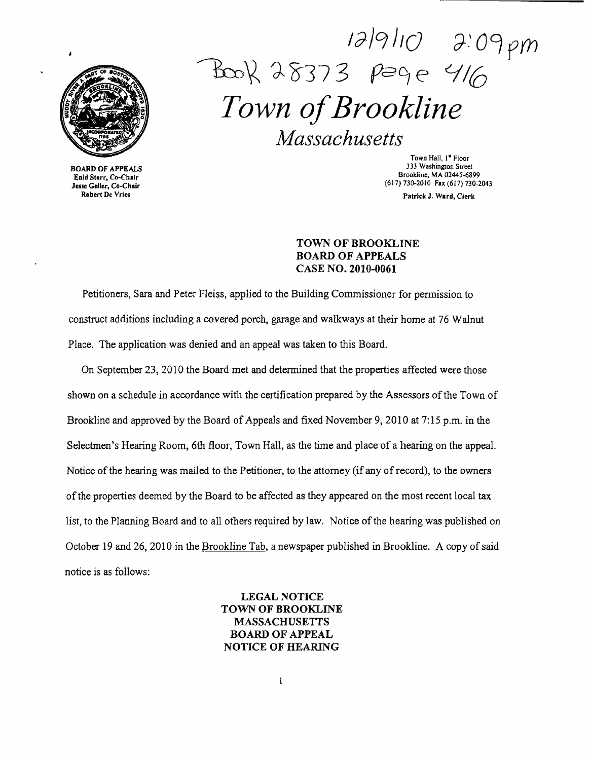

BOARD OF APPEALS Enid Starr, Co-Chair Jesse Geller, Co-Chair Robert De Vries

/JJ9JI(} if.'09prn  $P_{\text{low}}$  28373 page 416 *Town ofBrookline Massachusetts* 

Town Hall, I" Floor 333 Washington Street Brookline, MA 02445·6899 (617)130-2010 Fax (617) 730-2043

Patrick J. Ward, Clerk

## TOWN OF BROOKLINE BOARD OF APPEALS CASE NO. 2010-0061

Petitioners, Sara and Peter Fleiss, applied to the Building Commissioner for permission to construct additions including a covered porch, garage and walkways at their home at 76 Walnut Place. The application was denied and an appeal was taken to this Board.

On September 23,2010 the Board met and determined that the properties affected were those shown on a schedule in accordance with the certification prepared by the Assessors of the Town of Brookline and approved by the Board of Appeals and fixed November 9,2010 at 7:15 p.m. in the Selectmen's Hearing Room, 6th floor, Town Hall, as the time and place of a hearing on the appeal. Notice of the hearing was mailed to the Petitioner, to the attorney (if any of record), to the owners of the properties deemed by the Board to be affected as they appeared on the most recent local tax list, to the Planning Board and to all others required by law. Notice of the hearing was published on October 19 and 26, 2010 in the Brookline Tab, a newspaper published in Brookline. A copy of said notice is as follows:

# LEGAL NOTICE TOWN OF BROOKLINE MASSACHUSETTS BOARD OF APPEAL NOTICE OF HEARING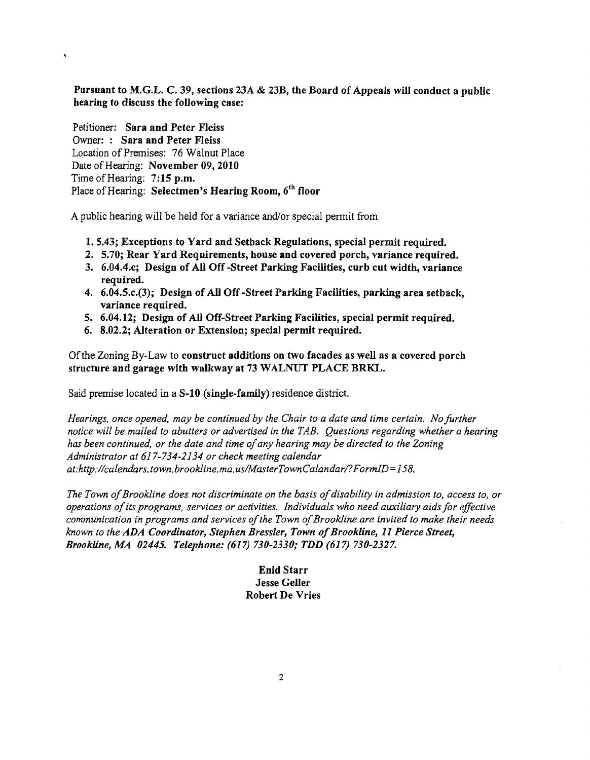Pursuant to M.G.L. C. 39, sections 23A & 23B, the Board of Appeals will conduct a public hearing to discuss the following case:

Petitioner: Sara and Peter Fleiss Owner: : Sara and Peter Fleiss Location of Premises: 76 Walnut Place Date of Hearing: November 09, 2010 Time of Hearing: 7:15 p.m. Place of Hearing: Selectmen's Hearing Room, 6<sup>th</sup> floor

A public hearing will be held for a variance and/or special permit from

- 1. 5.43; Exceptions to Yard and Setback Regulations, special permit required.
- 2. 5.70; Rear Yard Requirements, house and covered porch, variance required.
- 3. 6.04.4.c; Design of All Off -Street Parking Facilities, curb cut width, variance required.
- 4. 6.04.5.c.(3); Design of All Off -Street Parking Facilities, parking area setback, variance required.
- 5. 6.04.12; Design of All Off-Street Parking Facilities, special permit required.
- 6. 8.02.2; Alteration or Extension; special permit required.

Ofthe Zoning By-Law to construct additions on two facades as well as a covered porch structure and garage with walkway at 73 WALNUT PLACE BRKL.

Said premise located in a S-10 (single-family) residence district.

*Hearings, once opened, may be continued by the Chair to a date and time certain. No further notice will be mailed to abutters or advertised in the TAB. Questions regarding whether a hearing*  has been continued, or the date and time of any hearing may be directed to the Zoning *Administrator at* 617-734-2134 *or check meeting calendar*  at:http://calendars.town.brookline.ma.us/MasterTownCalandar/?FormID=158.

*The Town ofBrookline does not discriminate on the basis ofdisability in admission to, access to, or operations ofits programs, services or activities. Individuals who need auxiliary aids for effective communication in programs and services ofthe Town ofBrookline are invited to make their needs known to the ADA Coordinator, Stephen Bressler, Town of Brookline, 11 Pierce Street, Brookline, MA 02445. Telephone:* (617) *730-2330; TDD* (617) *730-2327.* 

> Enid Starr Jesse Geller Robert De Vries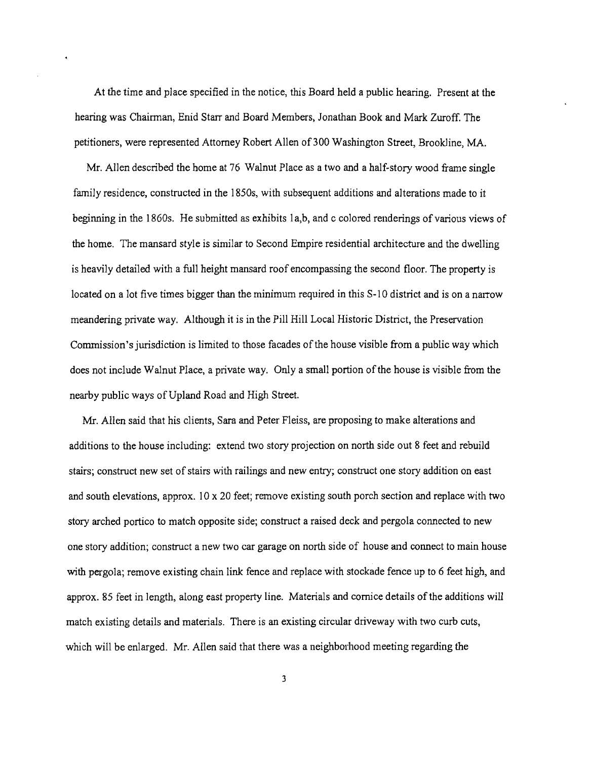At the time and place specified in the notice, this Board held a public hearing. Present at the hearing was Chairman, Enid Starr and Board Members, Jonathan Book and Mark Zuroff. The petitioners, were represented Attorney Robert Allen of 300 Washington Street, Brookline, MA.

Mr. Allen described the home at 76 Walnut Place as a two and a half-story wood frame single family residence, constructed in the 1850s, with subsequent additions and alterations made to it beginning in the 1860s. He submitted as exhibits 1a,b, and c colored renderings of various views of the home. The mansard style is similar to Second Empire residential architecture and the dwelling is heavily detailed with a full height mansard roof encompassing the second floor. The property is located on a lot five times bigger than the minimum required in this S-10 district and is on a narrow meandering private way. Although it is in the Pill Hill Local Historic District, the Preservation Commission's jurisdiction is limited to those facades ofthe house visible from a public way which does not include Walnut Place, a private way. Only a small portion of the house is visible from the nearby public ways of Upland Road and High Street.

Mr. Allen said that his clients, Sara and Peter Fleiss, are proposing to make alterations and additions to the house including: extend two story projection on north side out 8 feet and rebuild stairs; construct new set of stairs with railings and new entry; construct one story addition on east and south elevations, approx.  $10 \times 20$  feet; remove existing south porch section and replace with two story arched portico to match opposite side; construct a raised deck and pergola connected to new one story addition; construct a new two car garage on north side of house and connect to main house with pergola; remove existing chain link fence and replace with stockade fence up to 6 feet high, and approx. 85 feet in length, along east property line. Materials and cornice details of the additions will match existing details and materials. There is an existing circular driveway with two curb cuts, which will be enlarged. Mr. Allen said that there was a neighborhood meeting regarding the

3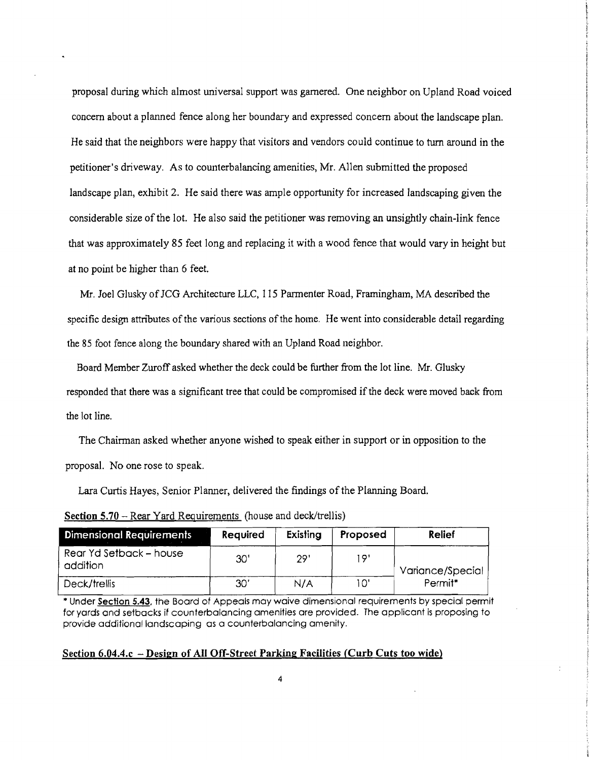proposal during which almost universal support was garnered. One neighbor on Upland Road voiced concern about a planned fence along her boundary and expressed concern about the landscape plan. He said that the neighbors were happy that visitors and vendors could continue to tum around in the petitioner's driveway. As to counterbalancing amenities, Mr. Allen submitted the proposed landscape plan, exhibit 2. He said there was ample opportunity for increased landscaping given the considerable size of the lot. He also said the petitioner was removing an unsightly chain-link fence that was approximately 85 feet long and replacing it with a wood fence that would vary in height but at no point be higher than 6 feet.

Mr. Joel Glusky of JCG Architecture LLC, 115 Parmenter Road, Framingham, MA described the specific design attributes of the various sections of the home. He went into considerable detail regarding the 85 foot fence along the boundary shared with an Upland Road neighbor.

Board Member Zuroff asked whether the deck could be further from the lot line. Mr. Glusky responded that there was a significant tree that could be compromised if the deck were moved back from the lot line.

The Chairman asked whether anyone wished to speak either in support or in opposition to the proposal. No one rose to speak.

Lara Curtis Hayes, Senior Planner, delivered the findings of the Planning Board.

| <b>Dimensional Requirements</b>     | Required | Existing | Proposed | Relief              |
|-------------------------------------|----------|----------|----------|---------------------|
| Rear Yd Setback – house<br>addition | 30'      | 29'      | 19'      | Variance/Special    |
| Deck/trellis                        | 30'      | N/A      | 10'      | Permit <sup>*</sup> |

Section 5.70 – Rear Yard Requirements (house and deck/trellis)

\* Under Section 5.43, the Board of Appeals may waive dimensional requirements by special permit for yards and setbacks if counterbalancing amenities are provided. The applicant is proposing to provide additional landscaping as a counterbalancing amenity.

#### Section 6.04.4.c - Design of All Off-Street Parking Facilities (Curb Cuts too wide)

4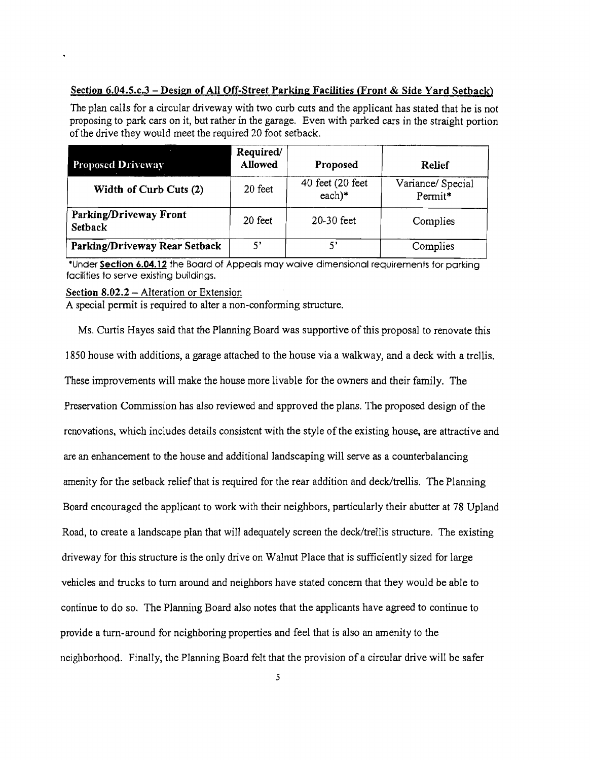### Section 6.04.5.c.3 – Design of All Off-Street Parking Facilities (Front & Side Yard Setback)

The plan calls for a circular driveway with two curb cuts and the applicant has stated that he is not proposing to park cars on it, but rather in the garage. Even with parked cars in the straight portion of the drive they would meet the required 20 foot setback.

| <b>Proposed Driveway</b>                 | Required/<br>Allowed | Proposed                     | <b>Relief</b>                |
|------------------------------------------|----------------------|------------------------------|------------------------------|
| Width of Curb Cuts (2)                   | 20 feet              | 40 feet (20 feet<br>$each)*$ | Variance/ Special<br>Permit* |
| Parking/Driveway Front<br><b>Setback</b> | 20 feet              | $20-30$ feet                 | Complies                     |
| Parking/Driveway Rear Setback            | ς,                   | 5'                           | Complies                     |

·Under Section 6.04.12 the Board of Appeals may waive dimensional requirements for parking facilities to serve existing buildings.

#### Section 8.02.2 – Alteration or Extension

A special permit is required to alter a non-confonning structure.

Ms. Curtis Hayes said that the Planning Board was supportive of this proposal to renovate this ]850 house with additions, a garage attached to the house via a walkway, and a deck with a trellis. These improvements will make the house more livable for the owners and their family. The Preservation Commission has also reviewed and approved the plans. The proposed design of the renovations, which includes details consistent with the style of the existing house, are attractive and are an enhancement to the house and additional landscaping will serve as a counterbalancing amenity for the setback relief that is required for the rear addition and deck/trellis. The Planning Board encouraged the applicant to work with their neighbors, particularly their abutter at 78 Upland Road, to create a landscape plan that will adequately screen the deck/trellis structure. The existing driveway for this structure is the only drive on Walnut Place that is sufficiently sized for large vehicles and trucks to tum around and neighbors have stated coneem that they would be able to continue to do so. The Planning Board also notes that the applicants have agreed to continue to provide a tum-around for neighboring properties and feel that is also an amenity to the neighborhood. Finally, the Planning Board felt that the provision of a circular drive will be safer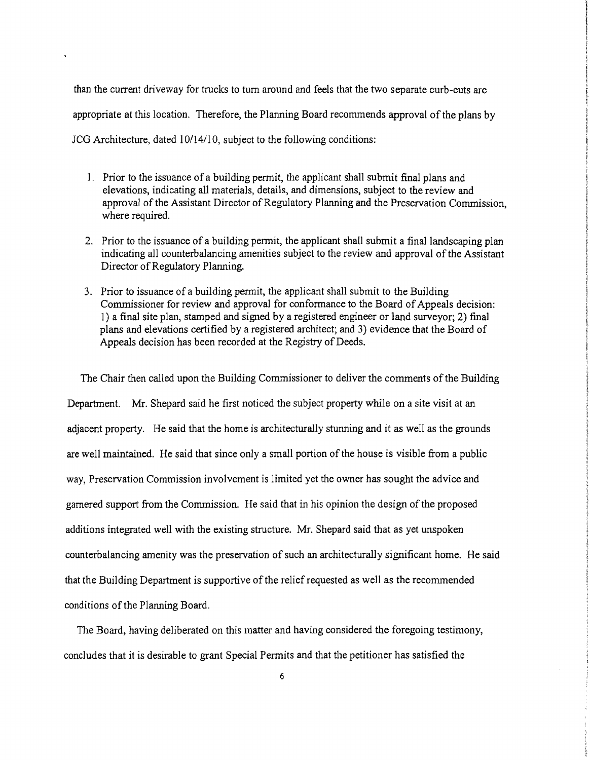than the current driveway for trucks to turn around and feels that the two separate curb-cuts are appropriate at this location. Therefore, the Planning Board recommends approval of the plans by JCG Architecture, dated 10/14/10, subject to the following conditions:

- 1. Prior to the issuance of a building permit, the applicant shall submit final plans and elevations, indicating all materials, details, and dimensions, subject to the review and approval of the Assistant Director of Regulatory Planning and the Preservation Commission, where required.
- 2. Prior to the issuance of a building permit, the applicant shall submit a final landscaping plan indicating all counterbalancing amenities subject to the review and approval of the Assistant Director of Regulatory Planning.
- 3. Prior to issuance of a building permit, the applicant shall submit to the Building Commissioner for review and approval for conformance to the Board of Appeals decision: 1) a final site plan, stamped and signed by a registered engineer or land surveyor; 2) final plans and elevations certified by a registered architect; and 3) evidence that the Board of Appeals decision has been recorded at the Registry of Deeds.

The Chair then called upon the Building Commissioner to deliver the comments of the Building Department. Mr. Shepard said he first noticed the subject property while on a site visit at an adjacent property. He said that the home is architecturally stunning and it as well as the grounds are well maintained. He said that since only a small portion of the house is visible from a public way, Preservation Commission involvement is limited yet the owner has sought the advice and garnered support from the Commission. He said that in his opinion the design of the proposed additions integrated well with the existing structure. Mr. Shepard said that as yet unspoken counterbalancing amenity was the preservation of such an architecturally significant home. He said that the Building Department is supportive of the relief requested as well as the recommended conditions of the Planning Board.

The Board, having deliberated on this matter and having considered the foregoing testimony, concludes that it is desirable to grant Special Permits and that the petitioner has satisfied the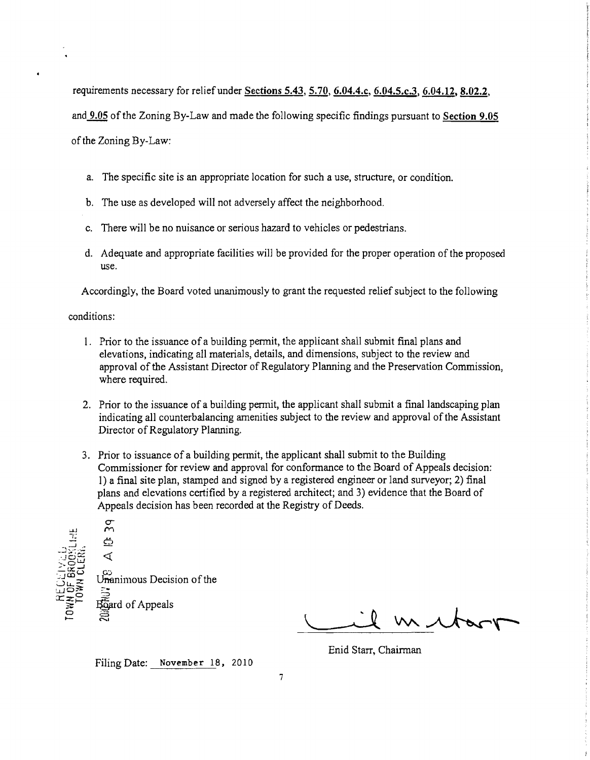requirements necessary for relief under Sections 5.43, 5.70, 6.04.4.c, 6.04.5.c.3, 6.04.12, 8.02.2,

and 9.05 of the Zoning By-Law and made the following specific findings pursuant to Section 9.05

of the Zoning By-Law:

- a. The specific site is an appropriate location for such a use, structure, or condition.
- b. The use as developed will not adversely affect the neighborhood.
- c. There will be no nuisance or serious hazard to vehicles or pedestrians.
- d. Adequate and appropriate facilities will be provided for the proper operation of the proposed use.

Accordingly, the Board voted unanimously to grant the requested relief subject to the following

conditions:

- I. Prior to the issuance of a building pennit, the applicant shall submit final plans and elevations, indicating all materials, details, and dimensions, subject to the review and approval of the Assistant Director of Regulatory Planning and the Preservation Commission, where required.
- 2. Prior to the issuance of a building permit, the applicant shall submit a final landscaping plan indicating all counterbalancing amenities subject to the review and approval of the Assistant Director of Regulatory Planning.
- 3. Prior to issuance of a building permit, the applicant shall submit to the Building Commissioner for review and approval for confonnance to the Board of Appeals decision: 1) a final site plan, stamped and signed by a registered engineer or land surveyor; 2) final plans and elevations certified by a registered architect; and 3) evidence that the Board of Appeals decision has been recorded at the Registry of Deeds.



m to

Enid Starr, Chairman

Filing Date: November 18, 2010

7